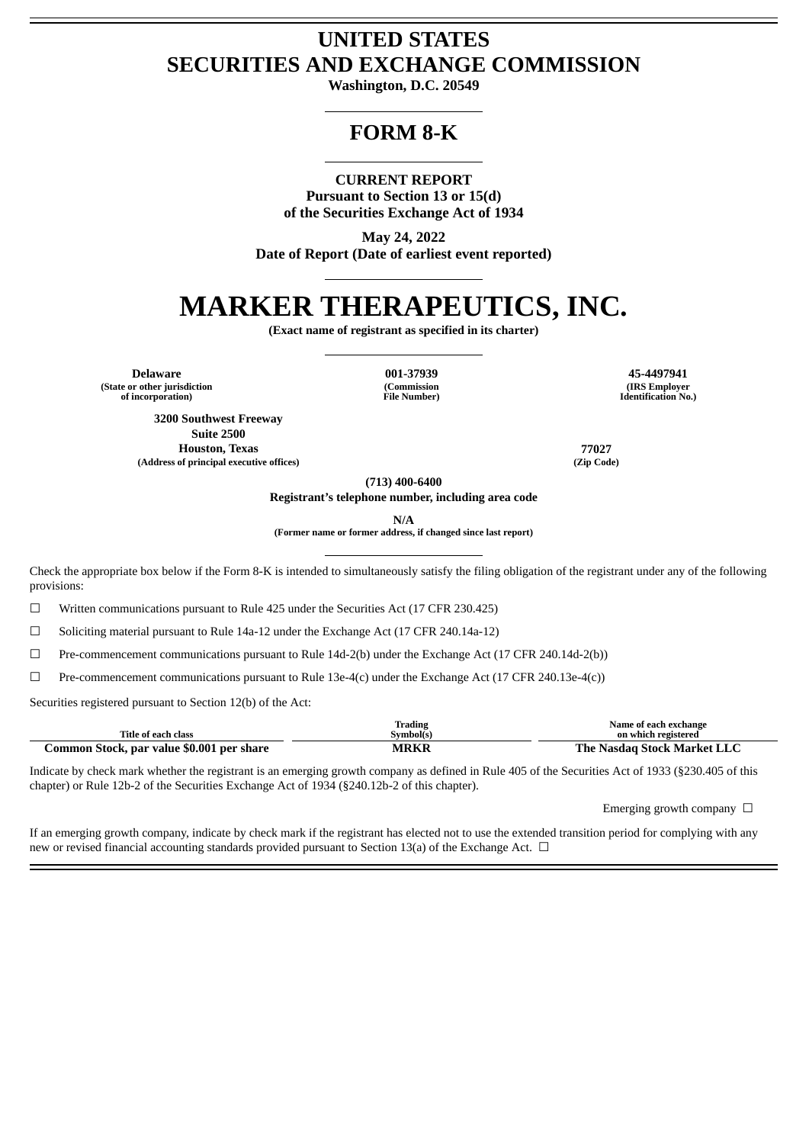# **UNITED STATES SECURITIES AND EXCHANGE COMMISSION**

**Washington, D.C. 20549**

## **FORM 8-K**

## **CURRENT REPORT**

**Pursuant to Section 13 or 15(d) of the Securities Exchange Act of 1934**

**May 24, 2022 Date of Report (Date of earliest event reported)**

# **MARKER THERAPEUTICS, INC.**

**(Exact name of registrant as specified in its charter)**

**Delaware 001-37939 45-4497941 (State or other jurisdiction of incorporation)**

**(Commission File Number)**

**(IRS Employer Identification No.)**

**3200 Southwest Freeway Suite 2500 Houston, Texas 77027 (Address of principal executive offices) (Zip Code)**

**(713) 400-6400**

**Registrant's telephone number, including area code**

**N/A**

**(Former name or former address, if changed since last report)**

Check the appropriate box below if the Form 8-K is intended to simultaneously satisfy the filing obligation of the registrant under any of the following provisions:

 $\Box$  Written communications pursuant to Rule 425 under the Securities Act (17 CFR 230.425)

☐ Soliciting material pursuant to Rule 14a-12 under the Exchange Act (17 CFR 240.14a-12)

☐ Pre-commencement communications pursuant to Rule 14d-2(b) under the Exchange Act (17 CFR 240.14d-2(b))

 $\Box$  Pre-commencement communications pursuant to Rule 13e-4(c) under the Exchange Act (17 CFR 240.13e-4(c))

Securities registered pursuant to Section 12(b) of the Act:

|                                           | Trading           | Name of each exchange       |
|-------------------------------------------|-------------------|-----------------------------|
| Title of each class                       | <b>Symbol</b> (s) | on which registered         |
| Common Stock, par value \$0.001 per share | <b>MRKR</b>       | The Nasdag Stock Market LLC |

Indicate by check mark whether the registrant is an emerging growth company as defined in Rule 405 of the Securities Act of 1933 (§230.405 of this chapter) or Rule 12b-2 of the Securities Exchange Act of 1934 (§240.12b-2 of this chapter).

Emerging growth company  $\Box$ 

If an emerging growth company, indicate by check mark if the registrant has elected not to use the extended transition period for complying with any new or revised financial accounting standards provided pursuant to Section 13(a) of the Exchange Act.  $\Box$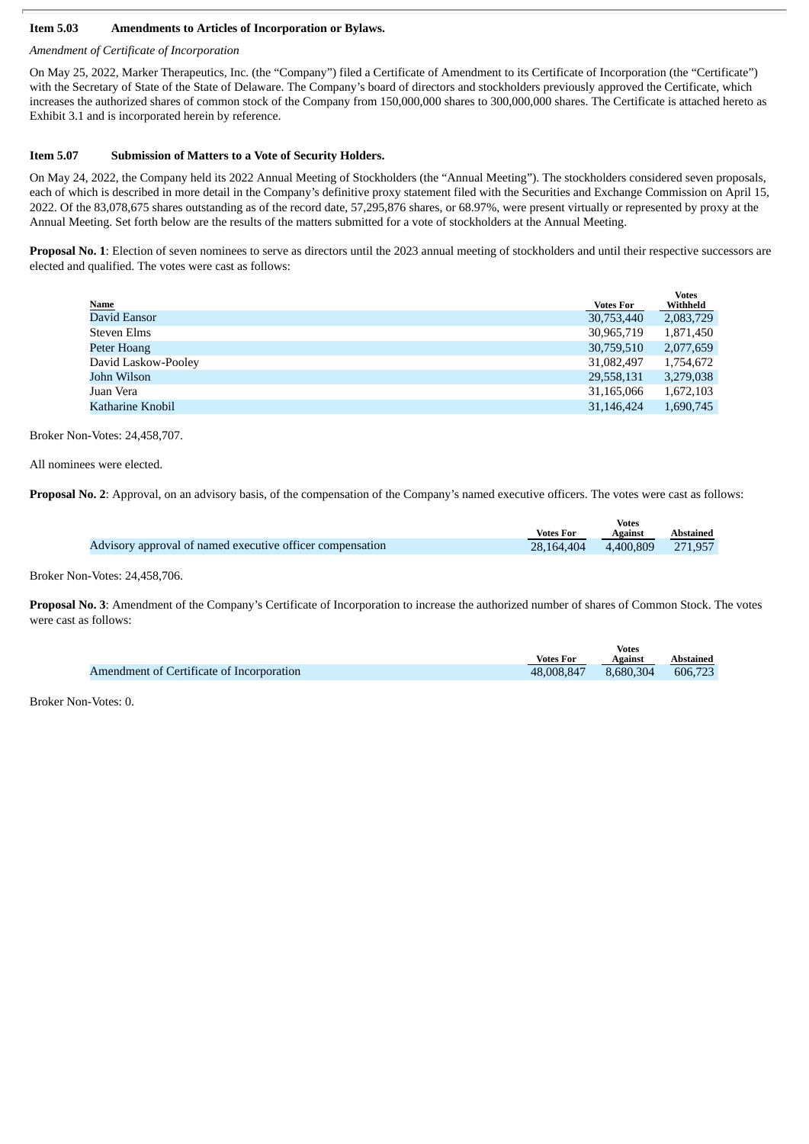#### **Item 5.03 Amendments to Articles of Incorporation or Bylaws.**

#### *Amendment of Certificate of Incorporation*

On May 25, 2022, Marker Therapeutics, Inc. (the "Company") filed a Certificate of Amendment to its Certificate of Incorporation (the "Certificate") with the Secretary of State of the State of Delaware. The Company's board of directors and stockholders previously approved the Certificate, which increases the authorized shares of common stock of the Company from 150,000,000 shares to 300,000,000 shares. The Certificate is attached hereto as Exhibit 3.1 and is incorporated herein by reference.

#### **Item 5.07 Submission of Matters to a Vote of Security Holders.**

On May 24, 2022, the Company held its 2022 Annual Meeting of Stockholders (the "Annual Meeting"). The stockholders considered seven proposals, each of which is described in more detail in the Company's definitive proxy statement filed with the Securities and Exchange Commission on April 15, 2022. Of the 83,078,675 shares outstanding as of the record date, 57,295,876 shares, or 68.97%, were present virtually or represented by proxy at the Annual Meeting. Set forth below are the results of the matters submitted for a vote of stockholders at the Annual Meeting.

**Proposal No. 1**: Election of seven nominees to serve as directors until the 2023 annual meeting of stockholders and until their respective successors are elected and qualified. The votes were cast as follows:

|                     |                  | <b>Votes</b> |
|---------------------|------------------|--------------|
| <b>Name</b>         | <b>Votes For</b> | Withheld     |
| David Eansor        | 30,753,440       | 2,083,729    |
| <b>Steven Elms</b>  | 30,965,719       | 1,871,450    |
| Peter Hoang         | 30,759,510       | 2,077,659    |
| David Laskow-Pooley | 31,082,497       | 1,754,672    |
| John Wilson         | 29,558,131       | 3,279,038    |
| Juan Vera           | 31,165,066       | 1,672,103    |
| Katharine Knobil    | 31,146,424       | 1,690,745    |
|                     |                  |              |

Broker Non-Votes: 24,458,707.

All nominees were elected.

**Proposal No. 2:** Approval, on an advisory basis, of the compensation of the Company's named executive officers. The votes were cast as follows:

|                                                           |                  | Votes             |           |
|-----------------------------------------------------------|------------------|-------------------|-----------|
|                                                           | <b>Votes For</b> | Against           | Abstained |
| Advisory approval of named executive officer compensation | 28.164.404       | 4,400,809 271,957 |           |
|                                                           |                  |                   |           |

Broker Non-Votes: 24,458,706.

**Proposal No. 3**: Amendment of the Company's Certificate of Incorporation to increase the authorized number of shares of Common Stock. The votes were cast as follows:

|                                           |                  | <b>Votes</b> |           |
|-------------------------------------------|------------------|--------------|-----------|
|                                           | <b>Votes For</b> | Against      | Abstained |
| Amendment of Certificate of Incorporation | 48,008,847       | 8.680.304    | 606,723   |

Broker Non-Votes: 0.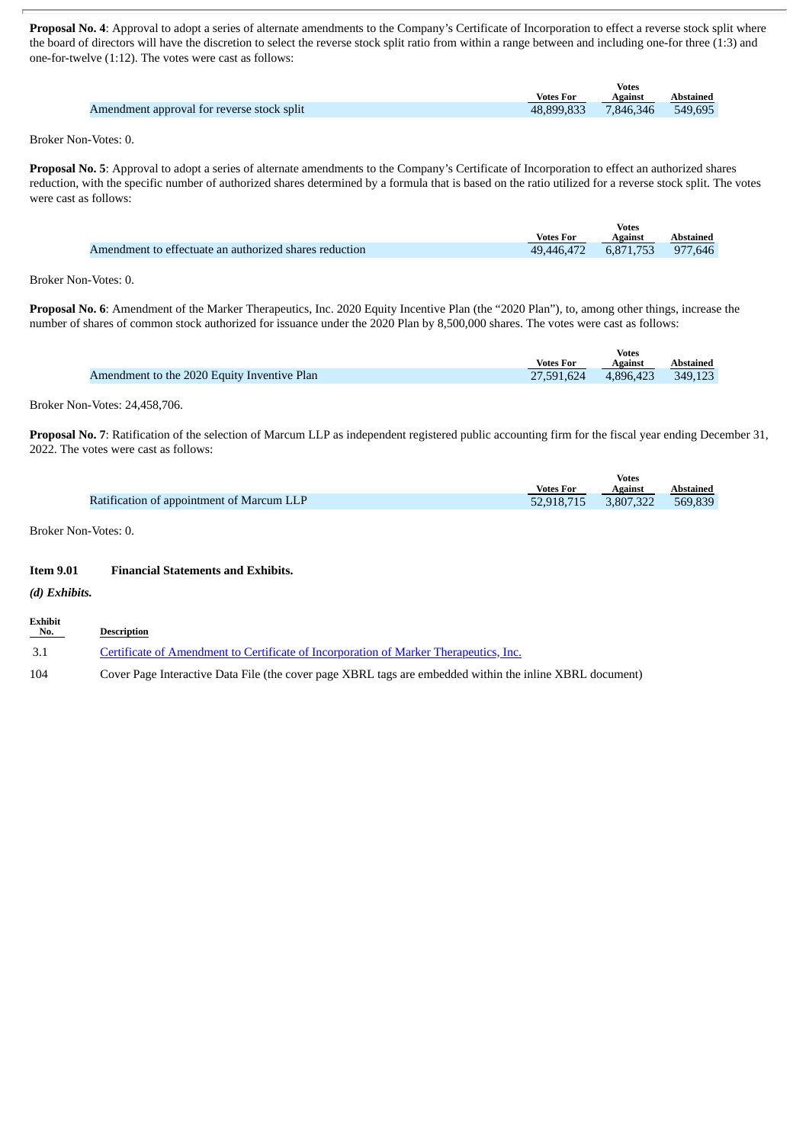**Proposal No. 4**: Approval to adopt a series of alternate amendments to the Company's Certificate of Incorporation to effect a reverse stock split where the board of directors will have the discretion to select the reverse stock split ratio from within a range between and including one-for three (1:3) and one-for-twelve (1:12). The votes were cast as follows:

|                                            |                  | Votes     |                  |
|--------------------------------------------|------------------|-----------|------------------|
|                                            | <b>Votes For</b> | Against   | <b>Abstained</b> |
| Amendment approval for reverse stock split | 48.899.833       | 7.846.346 | 549.695          |

Broker Non-Votes: 0.

**Proposal No. 5**: Approval to adopt a series of alternate amendments to the Company's Certificate of Incorporation to effect an authorized shares reduction, with the specific number of authorized shares determined by a formula that is based on the ratio utilized for a reverse stock split. The votes were cast as follows:

|                                                        |                  | <b>Votes</b> |           |
|--------------------------------------------------------|------------------|--------------|-----------|
|                                                        | <b>Votes For</b> | Against      | Abstained |
| Amendment to effectuate an authorized shares reduction | 49.446.472       | 6,871,753    | 977.646   |

Broker Non-Votes: 0.

**Proposal No. 6**: Amendment of the Marker Therapeutics, Inc. 2020 Equity Incentive Plan (the "2020 Plan"), to, among other things, increase the number of shares of common stock authorized for issuance under the 2020 Plan by 8,500,000 shares. The votes were cast as follows:

|                                             |                      | <b>Votes</b> |                  |
|---------------------------------------------|----------------------|--------------|------------------|
|                                             | <b>Votes For</b>     | Against      | <b>Abstained</b> |
| Amendment to the 2020 Equity Inventive Plan | 27,591,624 4,896,423 |              | 349.123          |

Broker Non-Votes: 24,458,706.

**Proposal No. 7**: Ratification of the selection of Marcum LLP as independent registered public accounting firm for the fiscal year ending December 31, 2022. The votes were cast as follows:

**Votes**

|                                           |                      | votes   |           |
|-------------------------------------------|----------------------|---------|-----------|
|                                           | <b>Votes For</b>     | Against | Abstained |
| Ratification of appointment of Marcum LLP | 52,918,715 3,807,322 |         | 569,839   |

Broker Non-Votes: 0.

#### **Item 9.01 Financial Statements and Exhibits.**

*(d) Exhibits.*

| <b>Exhibit</b><br>No. | Description                                                                                              |
|-----------------------|----------------------------------------------------------------------------------------------------------|
| -3.1                  | Certificate of Amendment to Certificate of Incorporation of Marker Therapeutics, Inc.                    |
| 104                   | Cover Page Interactive Data File (the cover page XBRL tags are embedded within the inline XBRL document) |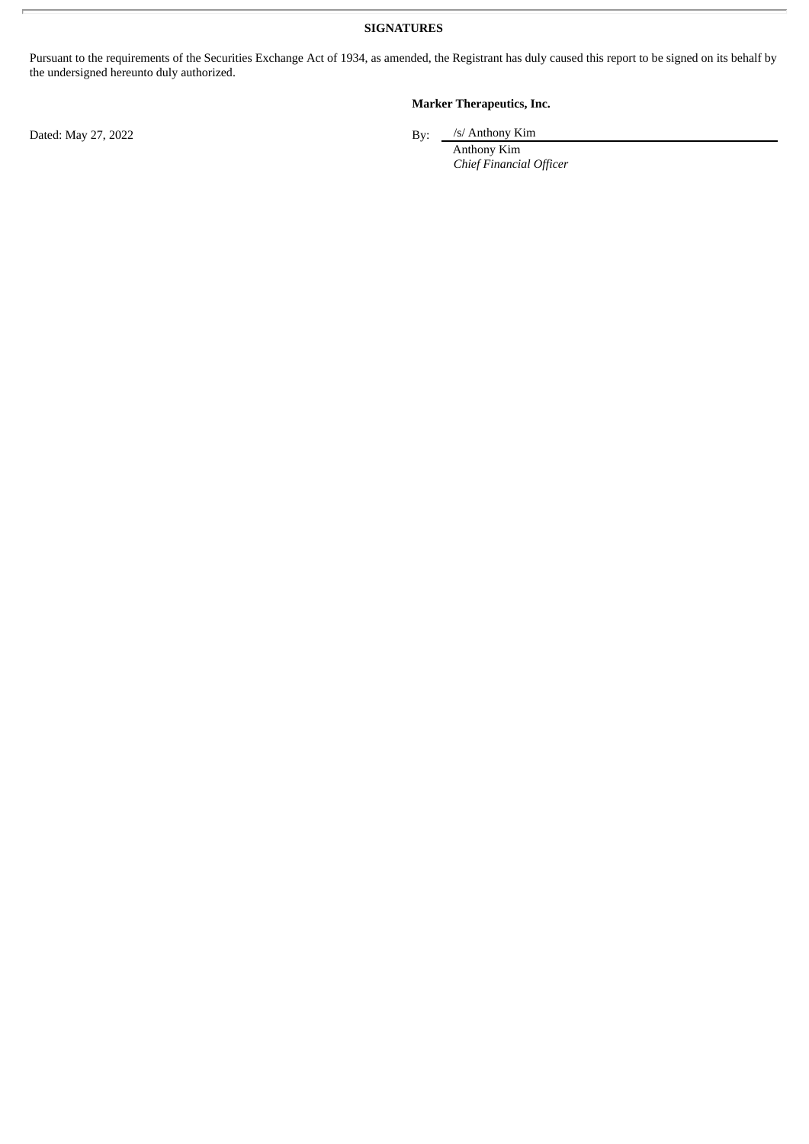**SIGNATURES**

Pursuant to the requirements of the Securities Exchange Act of 1934, as amended, the Registrant has duly caused this report to be signed on its behalf by the undersigned hereunto duly authorized.

### **Marker Therapeutics, Inc.**

/s/ Anthony Kim

Anthony Kim *Chief Financial Officer*

Dated: May 27, 2022 By: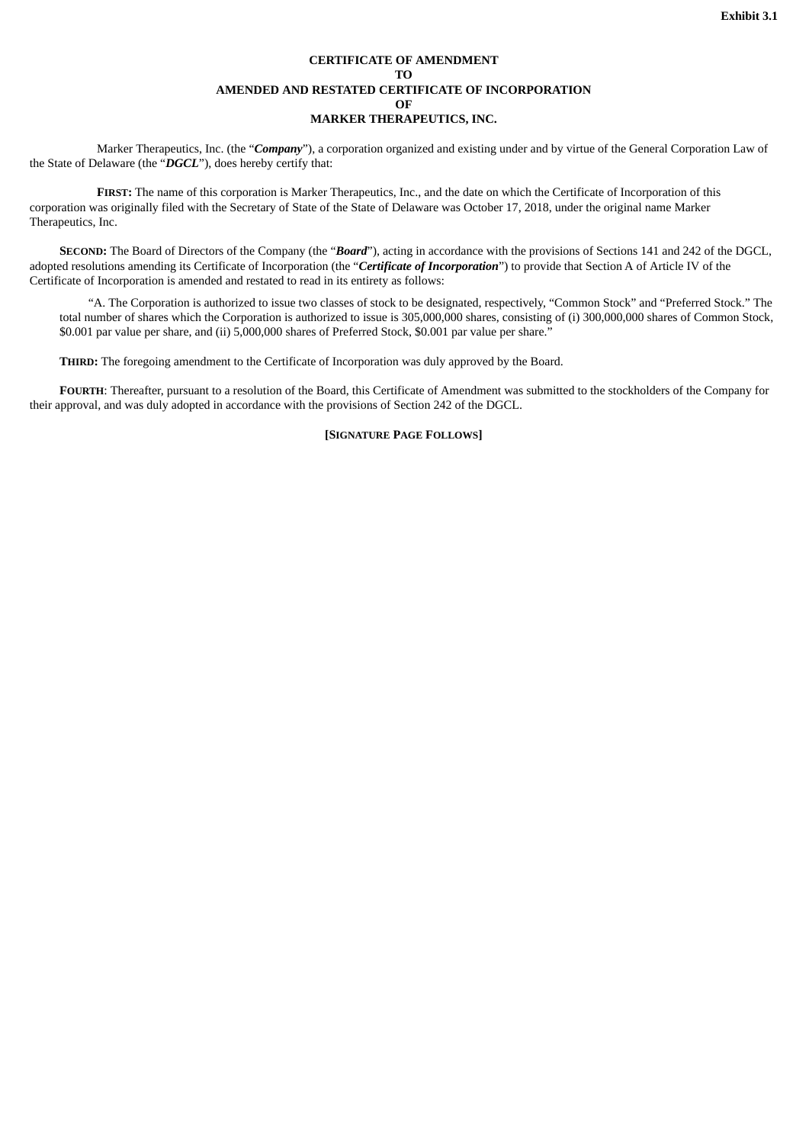#### **CERTIFICATE OF AMENDMENT TO AMENDED AND RESTATED CERTIFICATE OF INCORPORATION OF MARKER THERAPEUTICS, INC.**

<span id="page-4-0"></span>Marker Therapeutics, Inc. (the "*Company*"), a corporation organized and existing under and by virtue of the General Corporation Law of the State of Delaware (the "*DGCL*"), does hereby certify that:

**FIRST:** The name of this corporation is Marker Therapeutics, Inc., and the date on which the Certificate of Incorporation of this corporation was originally filed with the Secretary of State of the State of Delaware was October 17, 2018, under the original name Marker Therapeutics, Inc.

**SECOND:** The Board of Directors of the Company (the "*Board*"), acting in accordance with the provisions of Sections 141 and 242 of the DGCL, adopted resolutions amending its Certificate of Incorporation (the "*Certificate of Incorporation*") to provide that Section A of Article IV of the Certificate of Incorporation is amended and restated to read in its entirety as follows:

"A. The Corporation is authorized to issue two classes of stock to be designated, respectively, "Common Stock" and "Preferred Stock." The total number of shares which the Corporation is authorized to issue is 305,000,000 shares, consisting of (i) 300,000,000 shares of Common Stock, \$0.001 par value per share, and (ii) 5,000,000 shares of Preferred Stock, \$0.001 par value per share."

**THIRD:** The foregoing amendment to the Certificate of Incorporation was duly approved by the Board.

**FOURTH**: Thereafter, pursuant to a resolution of the Board, this Certificate of Amendment was submitted to the stockholders of the Company for their approval, and was duly adopted in accordance with the provisions of Section 242 of the DGCL.

#### **[SIGNATURE PAGE FOLLOWS]**